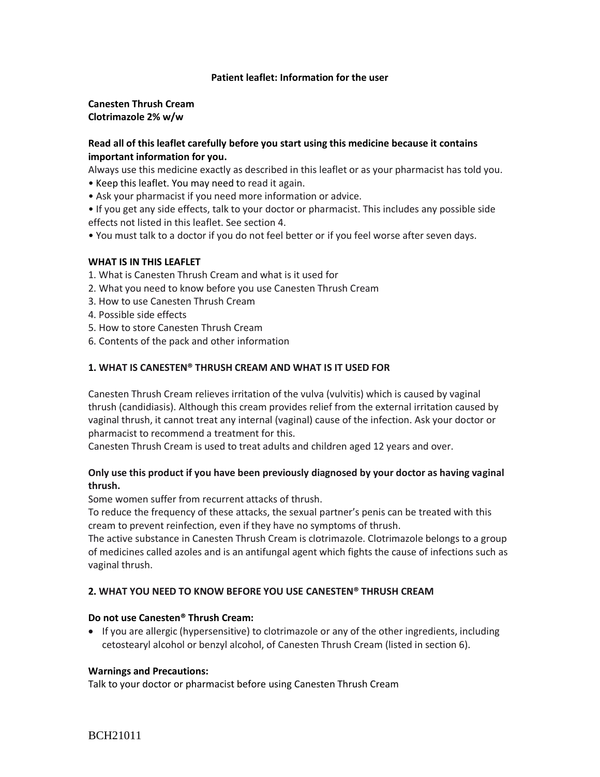## **Patient leaflet: Information for the user**

**Canesten Thrush Cream Clotrimazole 2% w/w**

# **Read all of this leaflet carefully before you start using this medicine because it contains important information for you.**

Always use this medicine exactly as described in this leaflet or as your pharmacist has told you.

- Keep this leaflet. You may need to read it again.
- Ask your pharmacist if you need more information or advice.
- If you get any side effects, talk to your doctor or pharmacist. This includes any possible side effects not listed in this leaflet. See section 4.
- You must talk to a doctor if you do not feel better or if you feel worse after seven days.

### **WHAT IS IN THIS LEAFLET**

- 1. What is Canesten Thrush Cream and what is it used for
- 2. What you need to know before you use Canesten Thrush Cream
- 3. How to use Canesten Thrush Cream
- 4. Possible side effects
- 5. How to store Canesten Thrush Cream
- 6. Contents of the pack and other information

### **1. WHAT IS CANESTEN® THRUSH CREAM AND WHAT IS IT USED FOR**

Canesten Thrush Cream relieves irritation of the vulva (vulvitis) which is caused by vaginal thrush (candidiasis). Although this cream provides relief from the external irritation caused by vaginal thrush, it cannot treat any internal (vaginal) cause of the infection. Ask your doctor or pharmacist to recommend a treatment for this.

Canesten Thrush Cream is used to treat adults and children aged 12 years and over.

# **Only use this product if you have been previously diagnosed by your doctor as having vaginal thrush.**

Some women suffer from recurrent attacks of thrush.

To reduce the frequency of these attacks, the sexual partner's penis can be treated with this cream to prevent reinfection, even if they have no symptoms of thrush.

The active substance in Canesten Thrush Cream is clotrimazole. Clotrimazole belongs to a group of medicines called azoles and is an antifungal agent which fights the cause of infections such as vaginal thrush.

## **2. WHAT YOU NEED TO KNOW BEFORE YOU USE CANESTEN® THRUSH CREAM**

#### **Do not use Canesten® Thrush Cream:**

 If you are allergic (hypersensitive) to clotrimazole or any of the other ingredients, including cetostearyl alcohol or benzyl alcohol, of Canesten Thrush Cream (listed in section 6).

#### **Warnings and Precautions:**

Talk to your doctor or pharmacist before using Canesten Thrush Cream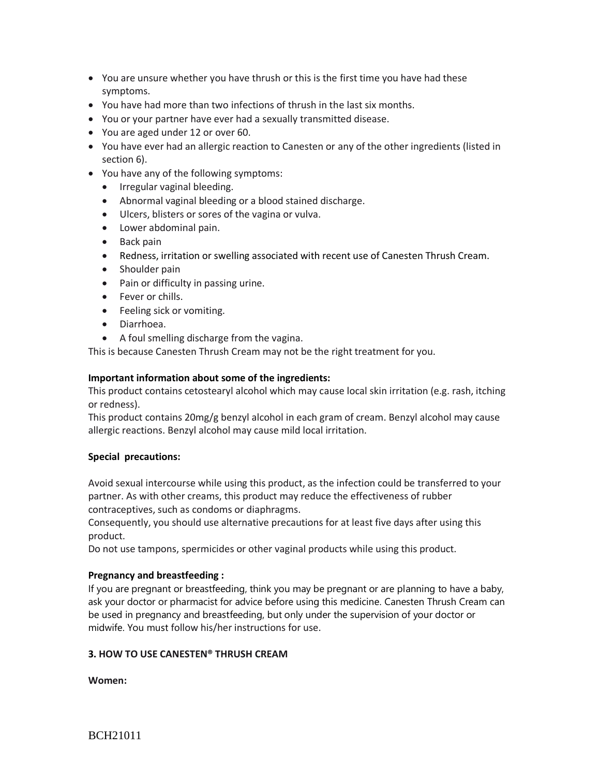- You are unsure whether you have thrush or this is the first time you have had these symptoms.
- You have had more than two infections of thrush in the last six months.
- You or your partner have ever had a sexually transmitted disease.
- You are aged under 12 or over 60.
- You have ever had an allergic reaction to Canesten or any of the other ingredients (listed in section 6).
- You have any of the following symptoms:
	- Irregular vaginal bleeding.
	- Abnormal vaginal bleeding or a blood stained discharge.
	- Ulcers, blisters or sores of the vagina or vulva.
	- Lower abdominal pain.
	- Back pain
	- Redness, irritation or swelling associated with recent use of Canesten Thrush Cream.
	- Shoulder pain
	- Pain or difficulty in passing urine.
	- Fever or chills.
	- Feeling sick or vomiting.
	- Diarrhoea.
	- A foul smelling discharge from the vagina.

This is because Canesten Thrush Cream may not be the right treatment for you.

## **Important information about some of the ingredients:**

This product contains cetostearyl alcohol which may cause local skin irritation (e.g. rash, itching or redness).

This product contains 20mg/g benzyl alcohol in each gram of cream. Benzyl alcohol may cause allergic reactions. Benzyl alcohol may cause mild local irritation.

## **Special precautions:**

Avoid sexual intercourse while using this product, as the infection could be transferred to your partner. As with other creams, this product may reduce the effectiveness of rubber contraceptives, such as condoms or diaphragms.

Consequently, you should use alternative precautions for at least five days after using this product.

Do not use tampons, spermicides or other vaginal products while using this product.

## **Pregnancy and breastfeeding :**

If you are pregnant or breastfeeding, think you may be pregnant or are planning to have a baby, ask your doctor or pharmacist for advice before using this medicine. Canesten Thrush Cream can be used in pregnancy and breastfeeding, but only under the supervision of your doctor or midwife. You must follow his/her instructions for use.

## **3. HOW TO USE CANESTEN® THRUSH CREAM**

**Women:**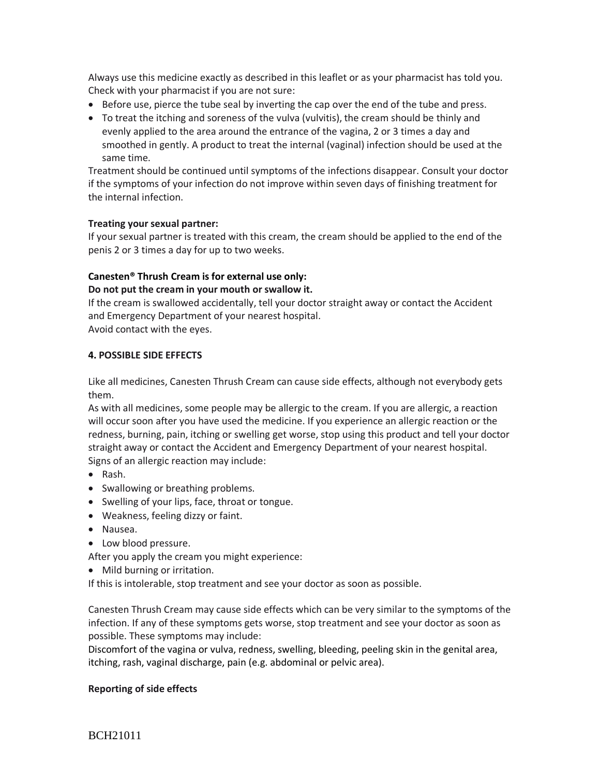Always use this medicine exactly as described in this leaflet or as your pharmacist has told you. Check with your pharmacist if you are not sure:

- **Before use, pierce the tube seal by inverting the cap over the end of the tube and press.**
- To treat the itching and soreness of the vulva (vulvitis), the cream should be thinly and evenly applied to the area around the entrance of the vagina, 2 or 3 times a day and smoothed in gently. A product to treat the internal (vaginal) infection should be used at the same time.

Treatment should be continued until symptoms of the infections disappear. Consult your doctor if the symptoms of your infection do not improve within seven days of finishing treatment for the internal infection.

## **Treating your sexual partner:**

If your sexual partner is treated with this cream, the cream should be applied to the end of the penis 2 or 3 times a day for up to two weeks.

# **Canesten® Thrush Cream is for external use only:**

# **Do not put the cream in your mouth or swallow it.**

If the cream is swallowed accidentally, tell your doctor straight away or contact the Accident and Emergency Department of your nearest hospital.

Avoid contact with the eyes.

## **4. POSSIBLE SIDE EFFECTS**

Like all medicines, Canesten Thrush Cream can cause side effects, although not everybody gets them.

As with all medicines, some people may be allergic to the cream. If you are allergic, a reaction will occur soon after you have used the medicine. If you experience an allergic reaction or the redness, burning, pain, itching or swelling get worse, stop using this product and tell your doctor straight away or contact the Accident and Emergency Department of your nearest hospital. Signs of an allergic reaction may include:

- Rash.
- Swallowing or breathing problems.
- Swelling of your lips, face, throat or tongue.
- Weakness, feeling dizzy or faint.
- Nausea.
- Low blood pressure.

After you apply the cream you might experience:

• Mild burning or irritation.

If this is intolerable, stop treatment and see your doctor as soon as possible.

Canesten Thrush Cream may cause side effects which can be very similar to the symptoms of the infection. If any of these symptoms gets worse, stop treatment and see your doctor as soon as possible. These symptoms may include:

Discomfort of the vagina or vulva, redness, swelling, bleeding, peeling skin in the genital area, itching, rash, vaginal discharge, pain (e.g. abdominal or pelvic area).

## **Reporting of side effects**

BCH21011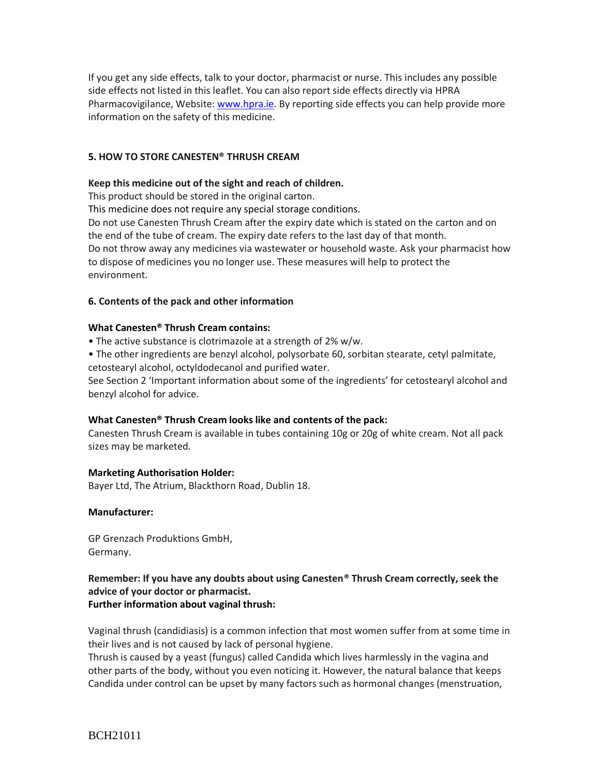If you get any side effects, talk to your doctor, pharmacist or nurse. This includes any possible side effects not listed in this leaflet. You can also report side effects directly via HPRA Pharmacovigilance, Website[: www.hpra.ie.](http://www.hpra.ie/) By reporting side effects you can help provide more information on the safety of this medicine.

# **5. HOW TO STORE CANESTEN® THRUSH CREAM**

## **Keep this medicine out of the sight and reach of children.**

This product should be stored in the original carton.

This medicine does not require any special storage conditions.

Do not use Canesten Thrush Cream after the expiry date which is stated on the carton and on the end of the tube of cream. The expiry date refers to the last day of that month. Do not throw away any medicines via wastewater or household waste. Ask your pharmacist how to dispose of medicines you no longer use. These measures will help to protect the environment.

## **6. Contents of the pack and other information**

### **What Canesten® Thrush Cream contains:**

• The active substance is clotrimazole at a strength of 2% w/w.

• The other ingredients are benzyl alcohol, polysorbate 60, sorbitan stearate, cetyl palmitate, cetostearyl alcohol, octyldodecanol and purified water.

See Section 2 'Important information about some of the ingredients' for cetostearyl alcohol and benzyl alcohol for advice.

## **What Canesten® Thrush Cream looks like and contents of the pack:**

Canesten Thrush Cream is available in tubes containing 10g or 20g of white cream. Not all pack sizes may be marketed.

## **Marketing Authorisation Holder:**

Bayer Ltd, The Atrium, Blackthorn Road, Dublin 18.

## **Manufacturer:**

GP Grenzach Produktions GmbH, Germany.

## **Remember: If you have any doubts about using Canesten® Thrush Cream correctly, seek the advice of your doctor or pharmacist. Further information about vaginal thrush:**

Vaginal thrush (candidiasis) is a common infection that most women suffer from at some time in their lives and is not caused by lack of personal hygiene.

Thrush is caused by a yeast (fungus) called Candida which lives harmlessly in the vagina and other parts of the body, without you even noticing it. However, the natural balance that keeps Candida under control can be upset by many factors such as hormonal changes (menstruation,